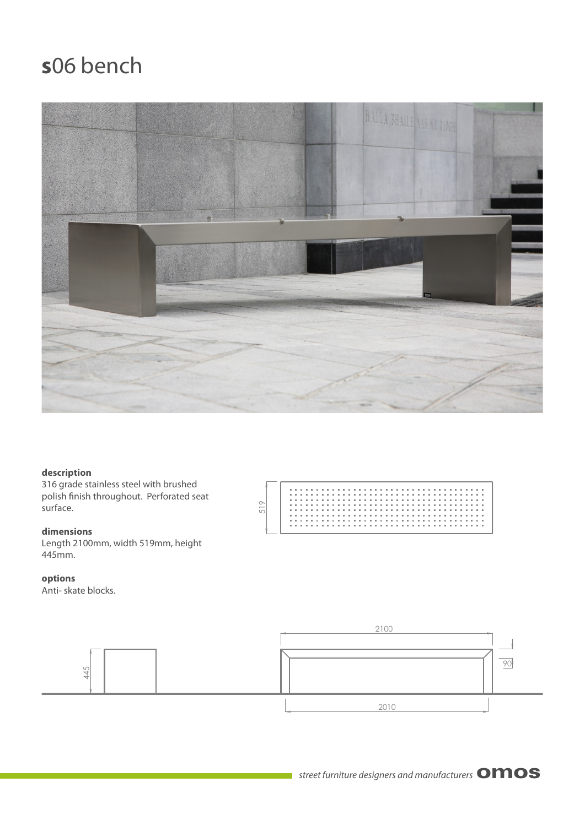# **s**06 bench



### **description**

316 grade stainless steel with brushed polish finish throughout. Perforated seat surface.

### **dimensions**

Length 2100mm, width 519mm, height 445mm.

### **options**

Anti- skate blocks.



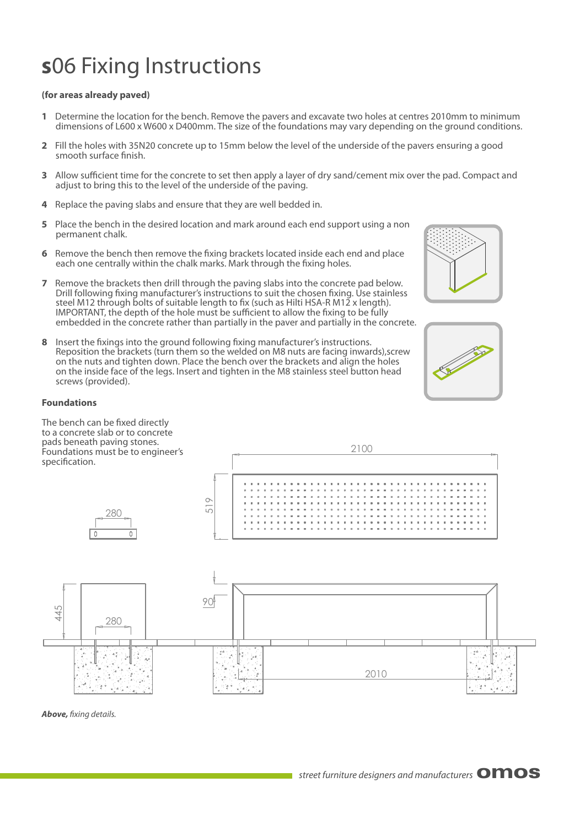# **s**06 Fixing Instructions

## **(for areas already paved)**

- **1** Determine the location for the bench. Remove the pavers and excavate two holes at centres 2010mm to minimum dimensions of L600 x W600 x D400mm. The size of the foundations may vary depending on the ground conditions.
- **2** Fill the holes with 35N20 concrete up to 15mm below the level of the underside of the pavers ensuring a good smooth surface finish.
- **3** Allow sufficient time for the concrete to set then apply a layer of dry sand/cement mix over the pad. Compact and adjust to bring this to the level of the underside of the paving.
- **4** Replace the paving slabs and ensure that they are well bedded in.
- **5** Place the bench in the desired location and mark around each end support using a non permanent chalk.
- **6** Bemove the bench then remove the fixing brackets located inside each end and place each one centrally within the chalk marks. Mark through the fixing holes.
- **7** Remove the brackets then drill through the paving slabs into the concrete pad below. Drill following fixing manufacturer's instructions to suit the chosen fixing. Use stainless steel M12 through bolts of suitable length to fix (such as Hilti HSA-R M12 x length). IMPORTANT, the depth of the hole must be sufficient to allow the fixing to be fully embedded in the concrete rather than partially in the paver and partially in the concrete.
- **8** Insert the fixings into the ground following fixing manufacturer's instructions. Reposition the brackets (turn them so the welded on M8 nuts are facing inwards),screw on the nuts and tighten down. Place the bench over the brackets and align the holes on the inside face of the legs. Insert and tighten in the M8 stainless steel button head screws (provided).





## **Foundations**

The bench can be fixed directly to a concrete slab or to concrete pads beneath paving stones. Foundations must be to engineer's



**Above,** fixing details.